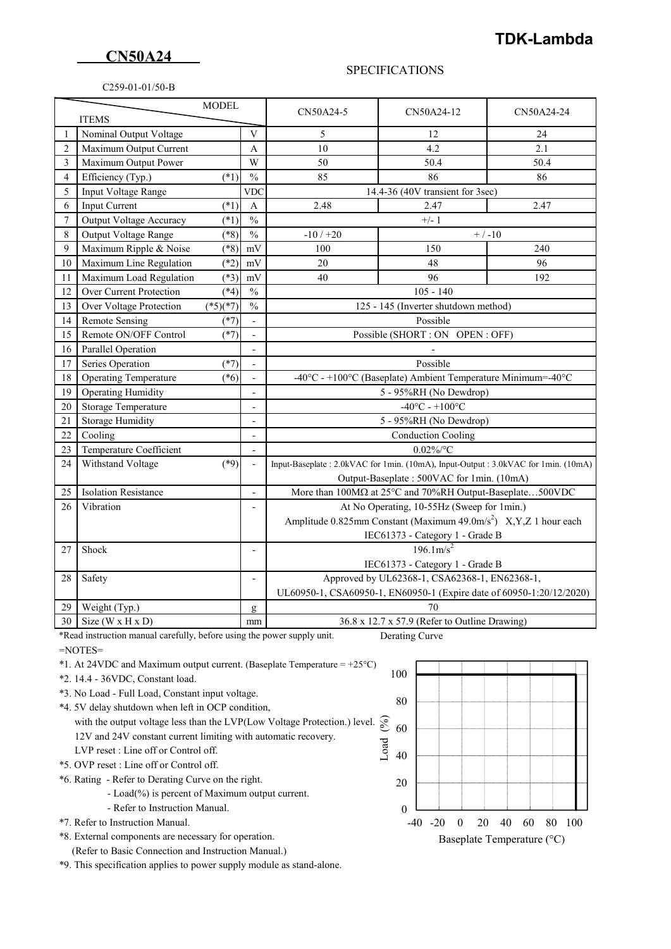## **CN50A24**

## **TDK-Lambda**

## C259-01-01/50-B

## SPECIFICATIONS

| <b>MODEL</b><br><b>ITEMS</b> |                                |            | CN50A24-5     | CN50A24-12                                                                        | CN50A24-24 |      |
|------------------------------|--------------------------------|------------|---------------|-----------------------------------------------------------------------------------|------------|------|
| 1                            | Nominal Output Voltage         |            | V             | 5                                                                                 | 12         | 24   |
| $\overline{2}$               | Maximum Output Current         |            | A             | 10                                                                                | 4.2        | 2.1  |
| 3                            | Maximum Output Power           |            | W             | 50                                                                                | 50.4       | 50.4 |
| 4                            | Efficiency (Typ.)              | $(*1)$     | $\frac{0}{0}$ | 85                                                                                | 86         | 86   |
| 5                            | Input Voltage Range            |            | <b>VDC</b>    | 14.4-36 (40V transient for 3sec)                                                  |            |      |
| 6                            | <b>Input Current</b>           | $(*1)$     | $\mathbf{A}$  | 2.48<br>2.47<br>2.47                                                              |            |      |
| 7                            | Output Voltage Accuracy        | $(*1)$     | $\frac{0}{0}$ | $+/-1$                                                                            |            |      |
| 8                            | Output Voltage Range           | $(*8)$     | $\frac{0}{0}$ | $-10/+20$<br>$+ / -10$                                                            |            |      |
| 9                            | Maximum Ripple & Noise         | $(*8)$     | mV            | 100                                                                               | 150        | 240  |
| 10                           | Maximum Line Regulation        | $(*2)$     | mV            | 20                                                                                | 48         | 96   |
| 11                           | Maximum Load Regulation        | $(*3)$     | mV            | 40                                                                                | 96         | 192  |
| 12                           | Over Current Protection        | $(*4)$     | $\frac{0}{0}$ | $105 - 140$                                                                       |            |      |
| 13                           | Over Voltage Protection        | $(*5)(*7)$ | $\frac{0}{0}$ | 125 - 145 (Inverter shutdown method)                                              |            |      |
| 14                           | <b>Remote Sensing</b>          | $(*7)$     |               | Possible                                                                          |            |      |
| 15                           | Remote ON/OFF Control          | $(*7)$     |               | Possible (SHORT : ON OPEN : OFF)                                                  |            |      |
| 16                           | Parallel Operation             |            |               |                                                                                   |            |      |
| 17                           | Series Operation               | $(*7)$     |               | Possible                                                                          |            |      |
| 18                           | <b>Operating Temperature</b>   | $(*6)$     |               | -40°C - +100°C (Baseplate) Ambient Temperature Minimum=-40°C                      |            |      |
| 19                           | <b>Operating Humidity</b>      |            |               | 5 - 95%RH (No Dewdrop)                                                            |            |      |
| 20                           | Storage Temperature            |            |               | $-40^{\circ}$ C - $+100^{\circ}$ C                                                |            |      |
| 21                           | <b>Storage Humidity</b>        |            |               | 5 - 95%RH (No Dewdrop)                                                            |            |      |
| 22                           | Cooling                        |            |               | <b>Conduction Cooling</b>                                                         |            |      |
| 23                           | Temperature Coefficient        |            |               | $0.02\%$ /°C                                                                      |            |      |
| 24                           | Withstand Voltage              | $(*9)$     | $\frac{1}{2}$ | Input-Baseplate: 2.0kVAC for 1min. (10mA), Input-Output: 3.0kVAC for 1min. (10mA) |            |      |
|                              |                                |            |               | Output-Baseplate: 500VAC for 1min. (10mA)                                         |            |      |
| 25                           | <b>Isolation Resistance</b>    |            |               | More than 100MΩ at 25°C and 70%RH Output-Baseplate500VDC                          |            |      |
| 26                           | Vibration                      |            |               | At No Operating, 10-55Hz (Sweep for 1min.)                                        |            |      |
|                              |                                |            |               | Amplitude 0.825mm Constant (Maximum 49.0m/s <sup>2</sup> ) X, Y, Z 1 hour each    |            |      |
|                              |                                |            |               | IEC61373 - Category 1 - Grade B                                                   |            |      |
| 27                           | Shock                          |            | L,            | $196.1 \text{m/s}^2$                                                              |            |      |
|                              |                                |            |               | IEC61373 - Category 1 - Grade B                                                   |            |      |
| 28                           | Safety                         |            | L,            | Approved by UL62368-1, CSA62368-1, EN62368-1,                                     |            |      |
|                              |                                |            |               | UL60950-1, CSA60950-1, EN60950-1 (Expire date of 60950-1:20/12/2020)              |            |      |
| 29                           | Weight (Typ.)                  |            | g             | 70                                                                                |            |      |
| 30                           | Size ( $W \times H \times D$ ) |            | mm            | 36.8 x 12.7 x 57.9 (Refer to Outline Drawing)                                     |            |      |

\*Read instruction manual carefully, before using the power supply unit. Derating Curve

- =NOTES=
- \*1. At 24VDC and Maximum output current. (Baseplate Temperature = +25°C)
- \*2. 14.4 36VDC, Constant load.
- \*3. No Load Full Load, Constant input voltage.
- \*4. 5V delay shutdown when left in OCP condition,
- with the output voltage less than the LVP(Low Voltage Protection.) level. 12V and 24V constant current limiting with automatic recovery. with the output voltage less than the LVP(Low Voltage Protection.) level.  $\frac{1}{2}$ <br>12V and 24V constant current limiting with automatic recovery.<br>LVP reset : Line off or Control off.
- 
- \*5. OVP reset : Line off or Control off.

\*6. Rating - Refer to Derating Curve on the right.

- Load(%) is percent of Maximum output current.
- Refer to Instruction Manual.
- \*7. Refer to Instruction Manual.
- \*8. External components are necessary for operation.
- (Refer to Basic Connection and Instruction Manual.)

\*9. This specification applies to power supply module as stand-alone.